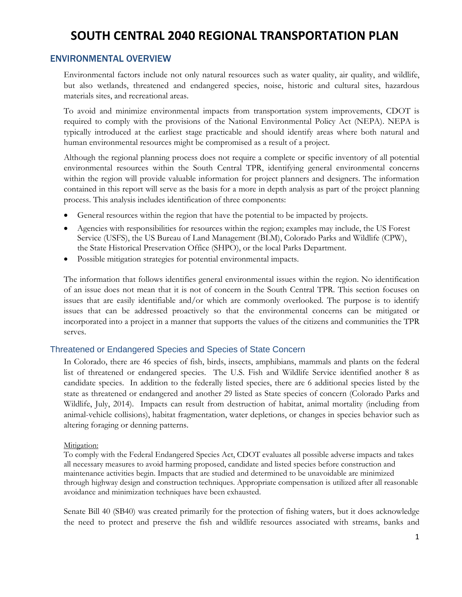## ENVIRONMENTAL OVERVIEW

Environmental factors include not only natural resources such as water quality, air quality, and wildlife, but also wetlands, threatened and endangered species, noise, historic and cultural sites, hazardous materials sites, and recreational areas.

To avoid and minimize environmental impacts from transportation system improvements, CDOT is required to comply with the provisions of the National Environmental Policy Act (NEPA). NEPA is typically introduced at the earliest stage practicable and should identify areas where both natural and human environmental resources might be compromised as a result of a project.

Although the regional planning process does not require a complete or specific inventory of all potential environmental resources within the South Central TPR, identifying general environmental concerns within the region will provide valuable information for project planners and designers. The information contained in this report will serve as the basis for a more in depth analysis as part of the project planning process. This analysis includes identification of three components:

- General resources within the region that have the potential to be impacted by projects.
- Agencies with responsibilities for resources within the region; examples may include, the US Forest Service (USFS), the US Bureau of Land Management (BLM), Colorado Parks and Wildlife (CPW), the State Historical Preservation Office (SHPO), or the local Parks Department.
- Possible mitigation strategies for potential environmental impacts.

The information that follows identifies general environmental issues within the region. No identification of an issue does not mean that it is not of concern in the South Central TPR. This section focuses on issues that are easily identifiable and/or which are commonly overlooked. The purpose is to identify issues that can be addressed proactively so that the environmental concerns can be mitigated or incorporated into a project in a manner that supports the values of the citizens and communities the TPR serves.

### Threatened or Endangered Species and Species of State Concern

In Colorado, there are 46 species of fish, birds, insects, amphibians, mammals and plants on the federal list of threatened or endangered species. The U.S. Fish and Wildlife Service identified another 8 as candidate species. In addition to the federally listed species, there are 6 additional species listed by the state as threatened or endangered and another 29 listed as State species of concern (Colorado Parks and Wildlife, July, 2014). Impacts can result from destruction of habitat, animal mortality (including from animal-vehicle collisions), habitat fragmentation, water depletions, or changes in species behavior such as altering foraging or denning patterns.

### Mitigation:

To comply with the Federal Endangered Species Act, CDOT evaluates all possible adverse impacts and takes all necessary measures to avoid harming proposed, candidate and listed species before construction and maintenance activities begin. Impacts that are studied and determined to be unavoidable are minimized through highway design and construction techniques. Appropriate compensation is utilized after all reasonable avoidance and minimization techniques have been exhausted.

Senate Bill 40 (SB40) was created primarily for the protection of fishing waters, but it does acknowledge the need to protect and preserve the fish and wildlife resources associated with streams, banks and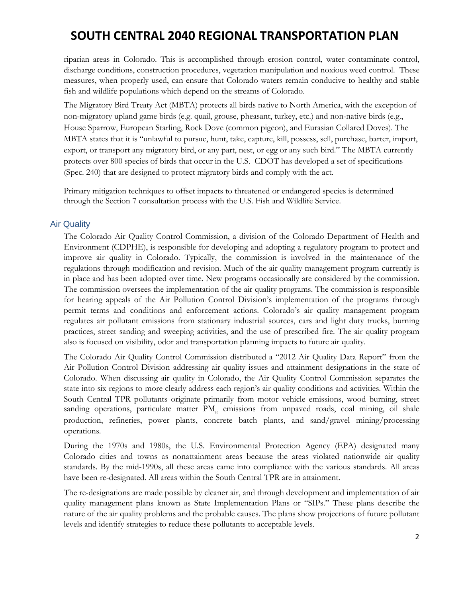riparian areas in Colorado. This is accomplished through erosion control, water contaminate control, discharge conditions, construction procedures, vegetation manipulation and noxious weed control. These measures, when properly used, can ensure that Colorado waters remain conducive to healthy and stable fish and wildlife populations which depend on the streams of Colorado.

The Migratory Bird Treaty Act (MBTA) protects all birds native to North America, with the exception of non-migratory upland game birds (e.g. quail, grouse, pheasant, turkey, etc.) and non-native birds (e.g., House Sparrow, European Starling, Rock Dove (common pigeon), and Eurasian Collared Doves). The MBTA states that it is "unlawful to pursue, hunt, take, capture, kill, possess, sell, purchase, barter, import, export, or transport any migratory bird, or any part, nest, or egg or any such bird." The MBTA currently protects over 800 species of birds that occur in the U.S. CDOT has developed a set of specifications (Spec. 240) that are designed to protect migratory birds and comply with the act.

Primary mitigation techniques to offset impacts to threatened or endangered species is determined through the Section 7 consultation process with the U.S. Fish and Wildlife Service.

### Air Quality

The Colorado Air Quality Control Commission, a division of the Colorado Department of Health and Environment (CDPHE), is responsible for developing and adopting a regulatory program to protect and improve air quality in Colorado. Typically, the commission is involved in the maintenance of the regulations through modification and revision. Much of the air quality management program currently is in place and has been adopted over time. New programs occasionally are considered by the commission. The commission oversees the implementation of the air quality programs. The commission is responsible for hearing appeals of the Air Pollution Control Division's implementation of the programs through permit terms and conditions and enforcement actions. Colorado's air quality management program regulates air pollutant emissions from stationary industrial sources, cars and light duty trucks, burning practices, street sanding and sweeping activities, and the use of prescribed fire. The air quality program also is focused on visibility, odor and transportation planning impacts to future air quality.

The Colorado Air Quality Control Commission distributed a "2012 Air Quality Data Report" from the Air Pollution Control Division addressing air quality issues and attainment designations in the state of Colorado. When discussing air quality in Colorado, the Air Quality Control Commission separates the state into six regions to more clearly address each region's air quality conditions and activities. Within the South Central TPR pollutants originate primarily from motor vehicle emissions, wood burning, street sanding operations, particulate matter PM<sub>10</sub> emissions from unpaved roads, coal mining, oil shale production, refineries, power plants, concrete batch plants, and sand/gravel mining/processing operations.

During the 1970s and 1980s, the U.S. Environmental Protection Agency (EPA) designated many Colorado cities and towns as nonattainment areas because the areas violated nationwide air quality standards. By the mid-1990s, all these areas came into compliance with the various standards. All areas have been re-designated. All areas within the South Central TPR are in attainment.

The re-designations are made possible by cleaner air, and through development and implementation of air quality management plans known as State Implementation Plans or "SIPs." These plans describe the nature of the air quality problems and the probable causes. The plans show projections of future pollutant levels and identify strategies to reduce these pollutants to acceptable levels.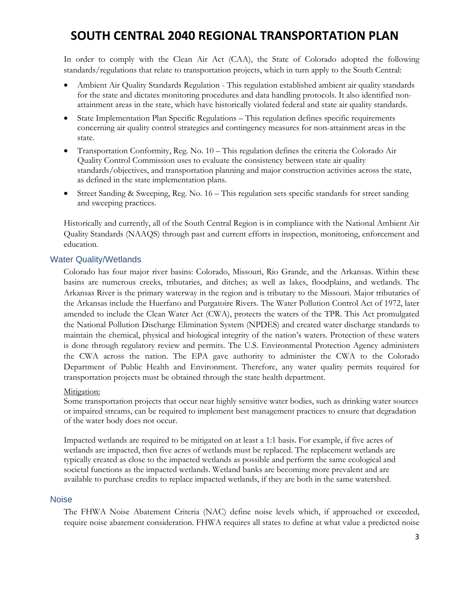In order to comply with the Clean Air Act (CAA), the State of Colorado adopted the following standards/regulations that relate to transportation projects, which in turn apply to the South Central:

- Ambient Air Quality Standards Regulation This regulation established ambient air quality standards for the state and dictates monitoring procedures and data handling protocols. It also identified nonattainment areas in the state, which have historically violated federal and state air quality standards.
- State Implementation Plan Specific Regulations This regulation defines specific requirements concerning air quality control strategies and contingency measures for non-attainment areas in the state.
- Transportation Conformity, Reg. No. 10 This regulation defines the criteria the Colorado Air Quality Control Commission uses to evaluate the consistency between state air quality standards/objectives, and transportation planning and major construction activities across the state, as defined in the state implementation plans.
- Street Sanding & Sweeping, Reg. No. 16 This regulation sets specific standards for street sanding and sweeping practices.

Historically and currently, all of the South Central Region is in compliance with the National Ambient Air Quality Standards (NAAQS) through past and current efforts in inspection, monitoring, enforcement and education.

### Water Quality/Wetlands

Colorado has four major river basins: Colorado, Missouri, Rio Grande, and the Arkansas. Within these basins are numerous creeks, tributaries, and ditches; as well as lakes, floodplains, and wetlands. The Arkansas River is the primary waterway in the region and is tributary to the Missouri. Major tributaries of the Arkansas include the Huerfano and Purgatoire Rivers. The Water Pollution Control Act of 1972, later amended to include the Clean Water Act (CWA), protects the waters of the TPR. This Act promulgated the National Pollution Discharge Elimination System (NPDES) and created water discharge standards to maintain the chemical, physical and biological integrity of the nation's waters. Protection of these waters is done through regulatory review and permits. The U.S. Environmental Protection Agency administers the CWA across the nation. The EPA gave authority to administer the CWA to the Colorado Department of Public Health and Environment. Therefore, any water quality permits required for transportation projects must be obtained through the state health department.

### Mitigation:

Some transportation projects that occur near highly sensitive water bodies, such as drinking water sources or impaired streams, can be required to implement best management practices to ensure that degradation of the water body does not occur.

Impacted wetlands are required to be mitigated on at least a 1:1 basis. For example, if five acres of wetlands are impacted, then five acres of wetlands must be replaced. The replacement wetlands are typically created as close to the impacted wetlands as possible and perform the same ecological and societal functions as the impacted wetlands. Wetland banks are becoming more prevalent and are available to purchase credits to replace impacted wetlands, if they are both in the same watershed.

### **Noise**

The FHWA Noise Abatement Criteria (NAC) define noise levels which, if approached or exceeded, require noise abatement consideration. FHWA requires all states to define at what value a predicted noise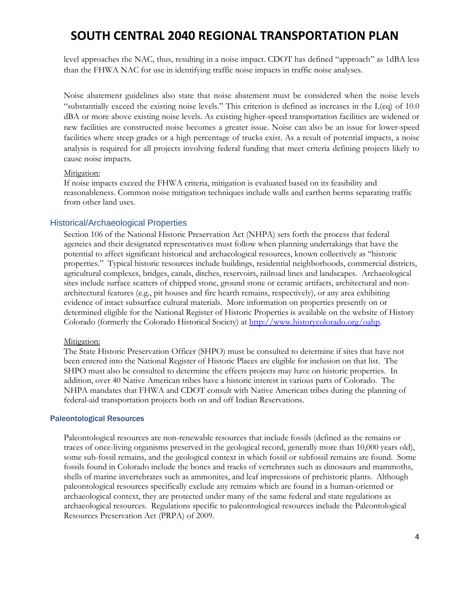level approaches the NAC, thus, resulting in a noise impact. CDOT has defined "approach" as 1dBA less than the FHWA NAC for use in identifying traffic noise impacts in traffic noise analyses.

Noise abatement guidelines also state that noise abatement must be considered when the noise levels "substantially exceed the existing noise levels." This criterion is defined as increases in the L(eq) of 10.0 dBA or more above existing noise levels. As existing higher-speed transportation facilities are widened or new facilities are constructed noise becomes a greater issue. Noise can also be an issue for lower-speed facilities where steep grades or a high percentage of trucks exist. As a result of potential impacts, a noise analysis is required for all projects involving federal funding that meet criteria defining projects likely to cause noise impacts.

#### Mitigation:

If noise impacts exceed the FHWA criteria, mitigation is evaluated based on its feasibility and reasonableness. Common noise mitigation techniques include walls and earthen berms separating traffic from other land uses.

### Historical/Archaeological Properties

Section 106 of the National Historic Preservation Act (NHPA) sets forth the process that federal agencies and their designated representatives must follow when planning undertakings that have the potential to affect significant historical and archaeological resources, known collectively as "historic properties." Typical historic resources include buildings, residential neighborhoods, commercial districts, agricultural complexes, bridges, canals, ditches, reservoirs, railroad lines and landscapes. Archaeological sites include surface scatters of chipped stone, ground stone or ceramic artifacts, architectural and nonarchitectural features (e.g., pit houses and fire hearth remains, respectively), or any area exhibiting evidence of intact subsurface cultural materials. More information on properties presently on or determined eligible for the National Register of Historic Properties is available on the website of History Colorado (formerly the Colorado Historical Society) at http://www.historycolorado.org/oahp.

### Mitigation:

The State Historic Preservation Officer (SHPO) must be consulted to determine if sites that have not been entered into the National Register of Historic Places are eligible for inclusion on that list. The SHPO must also be consulted to determine the effects projects may have on historic properties. In addition, over 40 Native American tribes have a historic interest in various parts of Colorado. The NHPA mandates that FHWA and CDOT consult with Native American tribes during the planning of federal-aid transportation projects both on and off Indian Reservations.

#### Paleontological Resources

Paleontological resources are non-renewable resources that include fossils (defined as the remains or traces of once-living organisms preserved in the geological record, generally more than 10,000 years old), some sub-fossil remains, and the geological context in which fossil or subfossil remains are found. Some fossils found in Colorado include the bones and tracks of vertebrates such as dinosaurs and mammoths, shells of marine invertebrates such as ammonites, and leaf impressions of prehistoric plants. Although paleontological resources specifically exclude any remains which are found in a human-oriented or archaeological context, they are protected under many of the same federal and state regulations as archaeological resources. Regulations specific to paleontological resources include the Paleontological Resources Preservation Act (PRPA) of 2009.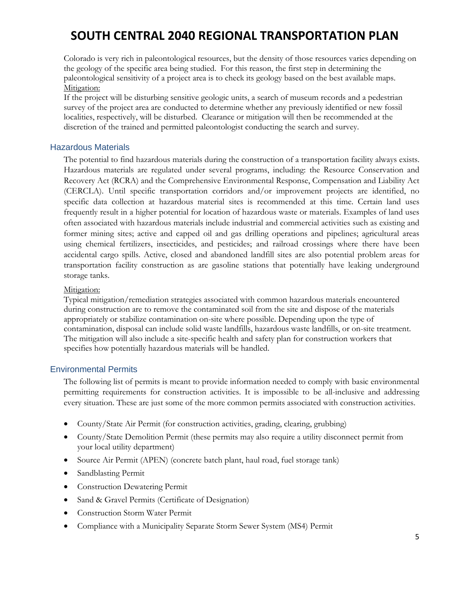Colorado is very rich in paleontological resources, but the density of those resources varies depending on the geology of the specific area being studied. For this reason, the first step in determining the paleontological sensitivity of a project area is to check its geology based on the best available maps. Mitigation:

If the project will be disturbing sensitive geologic units, a search of museum records and a pedestrian survey of the project area are conducted to determine whether any previously identified or new fossil localities, respectively, will be disturbed. Clearance or mitigation will then be recommended at the discretion of the trained and permitted paleontologist conducting the search and survey.

### Hazardous Materials

The potential to find hazardous materials during the construction of a transportation facility always exists. Hazardous materials are regulated under several programs, including: the Resource Conservation and Recovery Act (RCRA) and the Comprehensive Environmental Response, Compensation and Liability Act (CERCLA). Until specific transportation corridors and/or improvement projects are identified, no specific data collection at hazardous material sites is recommended at this time. Certain land uses frequently result in a higher potential for location of hazardous waste or materials. Examples of land uses often associated with hazardous materials include industrial and commercial activities such as existing and former mining sites; active and capped oil and gas drilling operations and pipelines; agricultural areas using chemical fertilizers, insecticides, and pesticides; and railroad crossings where there have been accidental cargo spills. Active, closed and abandoned landfill sites are also potential problem areas for transportation facility construction as are gasoline stations that potentially have leaking underground storage tanks.

### Mitigation:

Typical mitigation/remediation strategies associated with common hazardous materials encountered during construction are to remove the contaminated soil from the site and dispose of the materials appropriately or stabilize contamination on-site where possible. Depending upon the type of contamination, disposal can include solid waste landfills, hazardous waste landfills, or on-site treatment. The mitigation will also include a site-specific health and safety plan for construction workers that specifies how potentially hazardous materials will be handled.

### Environmental Permits

The following list of permits is meant to provide information needed to comply with basic environmental permitting requirements for construction activities. It is impossible to be all-inclusive and addressing every situation. These are just some of the more common permits associated with construction activities.

- County/State Air Permit (for construction activities, grading, clearing, grubbing)
- County/State Demolition Permit (these permits may also require a utility disconnect permit from your local utility department)
- Source Air Permit (APEN) (concrete batch plant, haul road, fuel storage tank)
- Sandblasting Permit
- Construction Dewatering Permit
- Sand & Gravel Permits (Certificate of Designation)
- Construction Storm Water Permit
- Compliance with a Municipality Separate Storm Sewer System (MS4) Permit